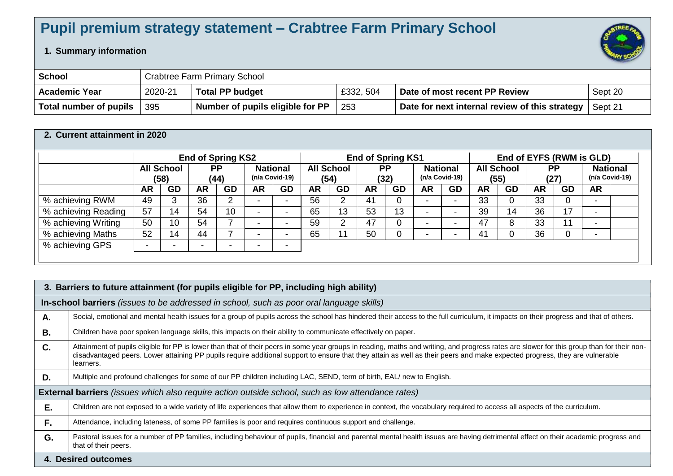## **Pupil premium strategy statement – Crabtree Farm Primary School**

## **1. Summary information**

| <b>School</b>          |         | <b>Crabtree Farm Primary School</b> |           |                                                |         |  |  |  |  |  |
|------------------------|---------|-------------------------------------|-----------|------------------------------------------------|---------|--|--|--|--|--|
| <b>Academic Year</b>   | 2020-21 | <b>Total PP budget</b>              | £332, 504 | Date of most recent PP Review                  | Sept 20 |  |  |  |  |  |
| Total number of pupils | 395     | Number of pupils eligible for PP    | 253       | Date for next internal review of this strategy | Sept 21 |  |  |  |  |  |

## **2. Current attainment in 2020**

| <b>End of Spring KS2</b>  |    |           |           | <b>End of Spring KS1</b> |                          |                                   |           | End of EYFS (RWM is GLD)  |             |                   |           |                                   |           |                           |    |                          |                                     |
|---------------------------|----|-----------|-----------|--------------------------|--------------------------|-----------------------------------|-----------|---------------------------|-------------|-------------------|-----------|-----------------------------------|-----------|---------------------------|----|--------------------------|-------------------------------------|
| <b>All School</b><br>(58) |    |           |           |                          |                          |                                   |           |                           |             |                   |           |                                   |           |                           |    |                          | <b>National</b><br>$(n/a$ Covid-19) |
| <b>AR</b>                 | GD | <b>AR</b> | <b>GD</b> | <b>AR</b>                | <b>GD</b>                | <b>AR</b>                         | <b>GD</b> | <b>AR</b>                 | <b>GD</b>   | <b>AR</b>         | <b>GD</b> | <b>AR</b>                         | <b>GD</b> | <b>AR</b>                 | GD | <b>AR</b>                |                                     |
| 49                        |    | 36        | ົ         |                          | $\overline{\phantom{a}}$ | 56                                |           | 41                        | 0           |                   |           | 33                                | 0         | 33                        |    |                          |                                     |
| 57                        | 14 | 54        | 10        |                          | $\overline{\phantom{a}}$ | 65                                | 13        | 53                        | 13          |                   |           | 39                                | 14        | 36                        | 17 |                          |                                     |
| 50                        | 10 | 54        |           |                          | $\overline{\phantom{0}}$ | 59                                | ⌒         | 47                        | 0           |                   |           | 47                                | 8         | 33                        |    |                          |                                     |
| 52                        | 14 | 44        |           |                          | $\overline{\phantom{0}}$ | 65                                |           | 50                        | $\mathbf 0$ |                   |           | 41                                | 0         | 36                        |    | $\overline{\phantom{a}}$ |                                     |
|                           |    |           |           |                          | $\overline{\phantom{0}}$ |                                   |           |                           |             |                   |           |                                   |           |                           |    |                          |                                     |
|                           |    |           |           | <b>PP</b><br>(44)        |                          | <b>National</b><br>(n/a Covid-19) |           | <b>All School</b><br>(54) |             | <b>PP</b><br>(32) |           | <b>National</b><br>(n/a Covid-19) |           | <b>All School</b><br>(55) |    | <b>PP</b><br>(27)        |                                     |

|    | 3. Barriers to future attainment (for pupils eligible for PP, including high ability)                                                                                                                                                                                                                                                                                                  |  |  |  |  |  |  |  |  |
|----|----------------------------------------------------------------------------------------------------------------------------------------------------------------------------------------------------------------------------------------------------------------------------------------------------------------------------------------------------------------------------------------|--|--|--|--|--|--|--|--|
|    | In-school barriers (issues to be addressed in school, such as poor oral language skills)                                                                                                                                                                                                                                                                                               |  |  |  |  |  |  |  |  |
| А. | Social, emotional and mental health issues for a group of pupils across the school has hindered their access to the full curriculum, it impacts on their progress and that of others.                                                                                                                                                                                                  |  |  |  |  |  |  |  |  |
| В. | Children have poor spoken language skills, this impacts on their ability to communicate effectively on paper.                                                                                                                                                                                                                                                                          |  |  |  |  |  |  |  |  |
| C. | Attainment of pupils eligible for PP is lower than that of their peers in some year groups in reading, maths and writing, and progress rates are slower for this group than for their non-<br>disadvantaged peers. Lower attaining PP pupils require additional support to ensure that they attain as well as their peers and make expected progress, they are vulnerable<br>learners. |  |  |  |  |  |  |  |  |
| D. | Multiple and profound challenges for some of our PP children including LAC, SEND, term of birth, EAL/ new to English.                                                                                                                                                                                                                                                                  |  |  |  |  |  |  |  |  |
|    | <b>External barriers</b> (issues which also require action outside school, such as low attendance rates)                                                                                                                                                                                                                                                                               |  |  |  |  |  |  |  |  |
| E. | Children are not exposed to a wide variety of life experiences that allow them to experience in context, the vocabulary required to access all aspects of the curriculum.                                                                                                                                                                                                              |  |  |  |  |  |  |  |  |
| F. | Attendance, including lateness, of some PP families is poor and requires continuous support and challenge.                                                                                                                                                                                                                                                                             |  |  |  |  |  |  |  |  |
| G. | Pastoral issues for a number of PP families, including behaviour of pupils, financial and parental mental health issues are having detrimental effect on their academic progress and<br>that of their peers.                                                                                                                                                                           |  |  |  |  |  |  |  |  |
|    | 4. Desired outcomes                                                                                                                                                                                                                                                                                                                                                                    |  |  |  |  |  |  |  |  |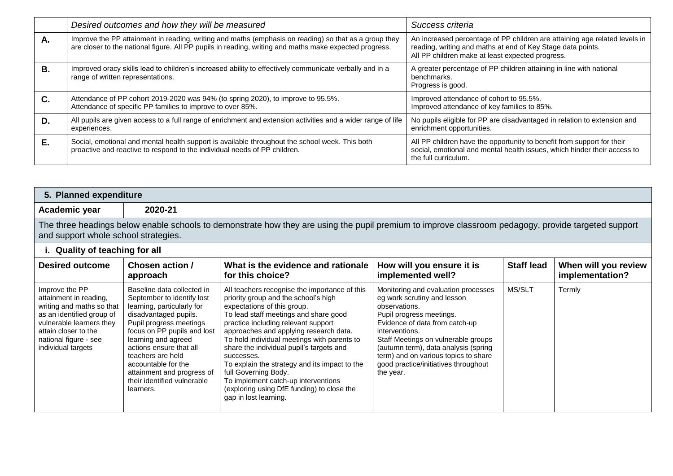|           | Desired outcomes and how they will be measured                                                                                                                                                                  | Success criteria                                                                                                                                                                              |
|-----------|-----------------------------------------------------------------------------------------------------------------------------------------------------------------------------------------------------------------|-----------------------------------------------------------------------------------------------------------------------------------------------------------------------------------------------|
| А.        | Improve the PP attainment in reading, writing and maths (emphasis on reading) so that as a group they<br>are closer to the national figure. All PP pupils in reading, writing and maths make expected progress. | An increased percentage of PP children are attaining age related levels in<br>reading, writing and maths at end of Key Stage data points.<br>All PP children make at least expected progress. |
| <b>B.</b> | Improved oracy skills lead to children's increased ability to effectively communicate verbally and in a<br>range of written representations.                                                                    | A greater percentage of PP children attaining in line with national<br>benchmarks.<br>Progress is good.                                                                                       |
| C.        | Attendance of PP cohort 2019-2020 was 94% (to spring 2020), to improve to 95.5%.<br>Attendance of specific PP families to improve to over 85%.                                                                  | Improved attendance of cohort to 95.5%.<br>Improved attendance of key families to 85%.                                                                                                        |
| D.        | All pupils are given access to a full range of enrichment and extension activities and a wider range of life<br>experiences.                                                                                    | No pupils eligible for PP are disadvantaged in relation to extension and<br>enrichment opportunities.                                                                                         |
| Е.        | Social, emotional and mental health support is available throughout the school week. This both<br>proactive and reactive to respond to the individual needs of PP children.                                     | All PP children have the opportunity to benefit from support for their<br>social, emotional and mental health issues, which hinder their access to<br>the full curriculum.                    |

| 5. Planned expenditure                                                                                                                                                                                |                                                                                                                                                                                                                                                                                                                                                   |                                                                                                                                                                                                                                                                                                                                                                                                                                                                                                                                                |                                                                                                                                                                                                                                                                                                                                                 |                   |                                         |  |  |  |  |  |
|-------------------------------------------------------------------------------------------------------------------------------------------------------------------------------------------------------|---------------------------------------------------------------------------------------------------------------------------------------------------------------------------------------------------------------------------------------------------------------------------------------------------------------------------------------------------|------------------------------------------------------------------------------------------------------------------------------------------------------------------------------------------------------------------------------------------------------------------------------------------------------------------------------------------------------------------------------------------------------------------------------------------------------------------------------------------------------------------------------------------------|-------------------------------------------------------------------------------------------------------------------------------------------------------------------------------------------------------------------------------------------------------------------------------------------------------------------------------------------------|-------------------|-----------------------------------------|--|--|--|--|--|
| Academic year                                                                                                                                                                                         | 2020-21                                                                                                                                                                                                                                                                                                                                           |                                                                                                                                                                                                                                                                                                                                                                                                                                                                                                                                                |                                                                                                                                                                                                                                                                                                                                                 |                   |                                         |  |  |  |  |  |
| The three headings below enable schools to demonstrate how they are using the pupil premium to improve classroom pedagogy, provide targeted support<br>and support whole school strategies.           |                                                                                                                                                                                                                                                                                                                                                   |                                                                                                                                                                                                                                                                                                                                                                                                                                                                                                                                                |                                                                                                                                                                                                                                                                                                                                                 |                   |                                         |  |  |  |  |  |
| i. Quality of teaching for all                                                                                                                                                                        |                                                                                                                                                                                                                                                                                                                                                   |                                                                                                                                                                                                                                                                                                                                                                                                                                                                                                                                                |                                                                                                                                                                                                                                                                                                                                                 |                   |                                         |  |  |  |  |  |
| <b>Desired outcome</b>                                                                                                                                                                                | Chosen action /<br>approach                                                                                                                                                                                                                                                                                                                       | What is the evidence and rationale<br>for this choice?                                                                                                                                                                                                                                                                                                                                                                                                                                                                                         | How will you ensure it is<br>implemented well?                                                                                                                                                                                                                                                                                                  | <b>Staff lead</b> | When will you review<br>implementation? |  |  |  |  |  |
| Improve the PP<br>attainment in reading,<br>writing and maths so that<br>as an identified group of<br>vulnerable learners they<br>attain closer to the<br>national figure - see<br>individual targets | Baseline data collected in<br>September to identify lost<br>learning, particularly for<br>disadvantaged pupils.<br>Pupil progress meetings<br>focus on PP pupils and lost<br>learning and agreed<br>actions ensure that all<br>teachers are held<br>accountable for the<br>attainment and progress of<br>their identified vulnerable<br>learners. | All teachers recognise the importance of this<br>priority group and the school's high<br>expectations of this group.<br>To lead staff meetings and share good<br>practice including relevant support<br>approaches and applying research data.<br>To hold individual meetings with parents to<br>share the individual pupil's targets and<br>successes.<br>To explain the strategy and its impact to the<br>full Governing Body.<br>To implement catch-up interventions<br>(exploring using DfE funding) to close the<br>gap in lost learning. | Monitoring and evaluation processes<br>eg work scrutiny and lesson<br>observations.<br>Pupil progress meetings.<br>Evidence of data from catch-up<br>interventions.<br>Staff Meetings on vulnerable groups<br>(autumn term), data analysis (spring<br>term) and on various topics to share<br>good practice/initiatives throughout<br>the year. | MS/SLT            | Termly                                  |  |  |  |  |  |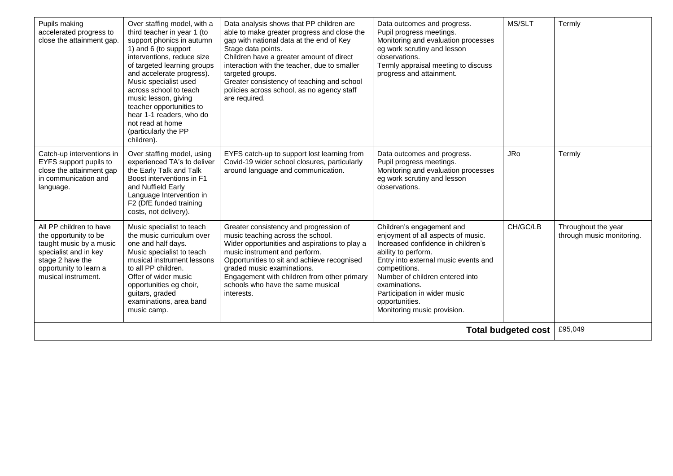| Pupils making<br>accelerated progress to<br>close the attainment gap.                                                                                                     | Over staffing model, with a<br>third teacher in year 1 (to<br>support phonics in autumn<br>1) and 6 (to support<br>interventions, reduce size<br>of targeted learning groups<br>and accelerate progress).<br>Music specialist used<br>across school to teach<br>music lesson, giving<br>teacher opportunities to<br>hear 1-1 readers, who do<br>not read at home<br>(particularly the PP<br>children). | Data analysis shows that PP children are<br>able to make greater progress and close the<br>gap with national data at the end of Key<br>Stage data points.<br>Children have a greater amount of direct<br>interaction with the teacher, due to smaller<br>targeted groups.<br>Greater consistency of teaching and school<br>policies across school, as no agency staff<br>are required. | Data outcomes and progress.<br>Pupil progress meetings.<br>Monitoring and evaluation processes<br>eg work scrutiny and lesson<br>observations.<br>Termly appraisal meeting to discuss<br>progress and attainment.                                                                                                          | MS/SLT     | Termly                                           |
|---------------------------------------------------------------------------------------------------------------------------------------------------------------------------|--------------------------------------------------------------------------------------------------------------------------------------------------------------------------------------------------------------------------------------------------------------------------------------------------------------------------------------------------------------------------------------------------------|----------------------------------------------------------------------------------------------------------------------------------------------------------------------------------------------------------------------------------------------------------------------------------------------------------------------------------------------------------------------------------------|----------------------------------------------------------------------------------------------------------------------------------------------------------------------------------------------------------------------------------------------------------------------------------------------------------------------------|------------|--------------------------------------------------|
| Catch-up interventions in<br>EYFS support pupils to<br>close the attainment gap<br>in communication and<br>language.                                                      | Over staffing model, using<br>experienced TA's to deliver<br>the Early Talk and Talk<br>Boost interventions in F1<br>and Nuffield Early<br>Language Intervention in<br>F2 (DfE funded training<br>costs, not delivery).                                                                                                                                                                                | EYFS catch-up to support lost learning from<br>Covid-19 wider school closures, particularly<br>around language and communication.                                                                                                                                                                                                                                                      | Data outcomes and progress.<br>Pupil progress meetings.<br>Monitoring and evaluation processes<br>eg work scrutiny and lesson<br>observations.                                                                                                                                                                             | <b>JRo</b> | Termly                                           |
| All PP children to have<br>the opportunity to be<br>taught music by a music<br>specialist and in key<br>stage 2 have the<br>opportunity to learn a<br>musical instrument. | Music specialist to teach<br>the music curriculum over<br>one and half days.<br>Music specialist to teach<br>musical instrument lessons<br>to all PP children.<br>Offer of wider music<br>opportunities eg choir,<br>guitars, graded<br>examinations, area band<br>music camp.                                                                                                                         | Greater consistency and progression of<br>music teaching across the school.<br>Wider opportunities and aspirations to play a<br>music instrument and perform.<br>Opportunities to sit and achieve recognised<br>graded music examinations.<br>Engagement with children from other primary<br>schools who have the same musical<br>interests.                                           | Children's engagement and<br>enjoyment of all aspects of music.<br>Increased confidence in children's<br>ability to perform.<br>Entry into external music events and<br>competitions.<br>Number of children entered into<br>examinations.<br>Participation in wider music<br>opportunities.<br>Monitoring music provision. | CH/GC/LB   | Throughout the year<br>through music monitoring. |
|                                                                                                                                                                           | <b>Total budgeted cost</b>                                                                                                                                                                                                                                                                                                                                                                             | £95,049                                                                                                                                                                                                                                                                                                                                                                                |                                                                                                                                                                                                                                                                                                                            |            |                                                  |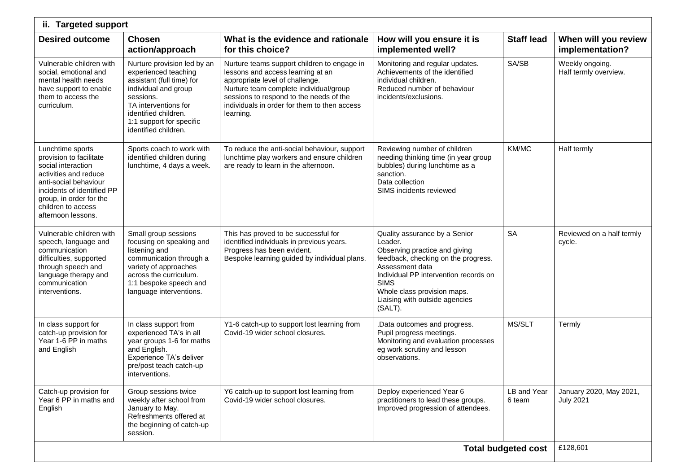| ii. Targeted support                                                                                                                                                                                                     |                                                                                                                                                                                                                           |                                                                                                                                                                                                                                                                       |                                                                                                                                                                                                                                                                         |                       |                                             |  |  |  |  |
|--------------------------------------------------------------------------------------------------------------------------------------------------------------------------------------------------------------------------|---------------------------------------------------------------------------------------------------------------------------------------------------------------------------------------------------------------------------|-----------------------------------------------------------------------------------------------------------------------------------------------------------------------------------------------------------------------------------------------------------------------|-------------------------------------------------------------------------------------------------------------------------------------------------------------------------------------------------------------------------------------------------------------------------|-----------------------|---------------------------------------------|--|--|--|--|
| <b>Desired outcome</b>                                                                                                                                                                                                   | <b>Chosen</b><br>action/approach                                                                                                                                                                                          | What is the evidence and rationale<br>for this choice?                                                                                                                                                                                                                | How will you ensure it is<br>implemented well?                                                                                                                                                                                                                          | <b>Staff lead</b>     | When will you review<br>implementation?     |  |  |  |  |
| Vulnerable children with<br>social, emotional and<br>mental health needs<br>have support to enable<br>them to access the<br>curriculum.                                                                                  | Nurture provision led by an<br>experienced teaching<br>assistant (full time) for<br>individual and group<br>sessions.<br>TA interventions for<br>identified children.<br>1:1 support for specific<br>identified children. | Nurture teams support children to engage in<br>lessons and access learning at an<br>appropriate level of challenge.<br>Nurture team complete individual/group<br>sessions to respond to the needs of the<br>individuals in order for them to then access<br>learning. | Monitoring and regular updates.<br>Achievements of the identified<br>individual children.<br>Reduced number of behaviour<br>incidents/exclusions.                                                                                                                       | SA/SB                 | Weekly ongoing.<br>Half termly overview.    |  |  |  |  |
| Lunchtime sports<br>provision to facilitate<br>social interaction<br>activities and reduce<br>anti-social behaviour<br>incidents of identified PP<br>group, in order for the<br>children to access<br>afternoon lessons. | Sports coach to work with<br>identified children during<br>lunchtime, 4 days a week.                                                                                                                                      | To reduce the anti-social behaviour, support<br>lunchtime play workers and ensure children<br>are ready to learn in the afternoon.                                                                                                                                    | Reviewing number of children<br>needing thinking time (in year group<br>bubbles) during lunchtime as a<br>sanction.<br>Data collection<br>SIMS incidents reviewed                                                                                                       | KM/MC                 | Half termly                                 |  |  |  |  |
| Vulnerable children with<br>speech, language and<br>communication<br>difficulties, supported<br>through speech and<br>language therapy and<br>communication<br>interventions.                                            | Small group sessions<br>focusing on speaking and<br>listening and<br>communication through a<br>variety of approaches<br>across the curriculum.<br>1:1 bespoke speech and<br>language interventions.                      | This has proved to be successful for<br>identified individuals in previous years.<br>Progress has been evident.<br>Bespoke learning guided by individual plans.                                                                                                       | Quality assurance by a Senior<br>Leader.<br>Observing practice and giving<br>feedback, checking on the progress.<br>Assessment data<br>Individual PP intervention records on<br><b>SIMS</b><br>Whole class provision maps.<br>Liaising with outside agencies<br>(SALT). | <b>SA</b>             | Reviewed on a half termly<br>cycle.         |  |  |  |  |
| In class support for<br>catch-up provision for<br>Year 1-6 PP in maths<br>and English                                                                                                                                    | In class support from<br>experienced TA's in all<br>year groups 1-6 for maths<br>and English.<br>Experience TA's deliver<br>pre/post teach catch-up<br>interventions.                                                     | Y1-6 catch-up to support lost learning from<br>Covid-19 wider school closures.                                                                                                                                                                                        | .Data outcomes and progress.<br>Pupil progress meetings.<br>Monitoring and evaluation processes<br>eg work scrutiny and lesson<br>observations.                                                                                                                         | MS/SLT                | Termly                                      |  |  |  |  |
| Catch-up provision for<br>Year 6 PP in maths and<br>English                                                                                                                                                              | Group sessions twice<br>weekly after school from<br>January to May.<br>Refreshments offered at<br>the beginning of catch-up<br>session.                                                                                   | Y6 catch-up to support lost learning from<br>Covid-19 wider school closures.                                                                                                                                                                                          | Deploy experienced Year 6<br>practitioners to lead these groups.<br>Improved progression of attendees.                                                                                                                                                                  | LB and Year<br>6 team | January 2020, May 2021,<br><b>July 2021</b> |  |  |  |  |
|                                                                                                                                                                                                                          | £128,601                                                                                                                                                                                                                  |                                                                                                                                                                                                                                                                       |                                                                                                                                                                                                                                                                         |                       |                                             |  |  |  |  |